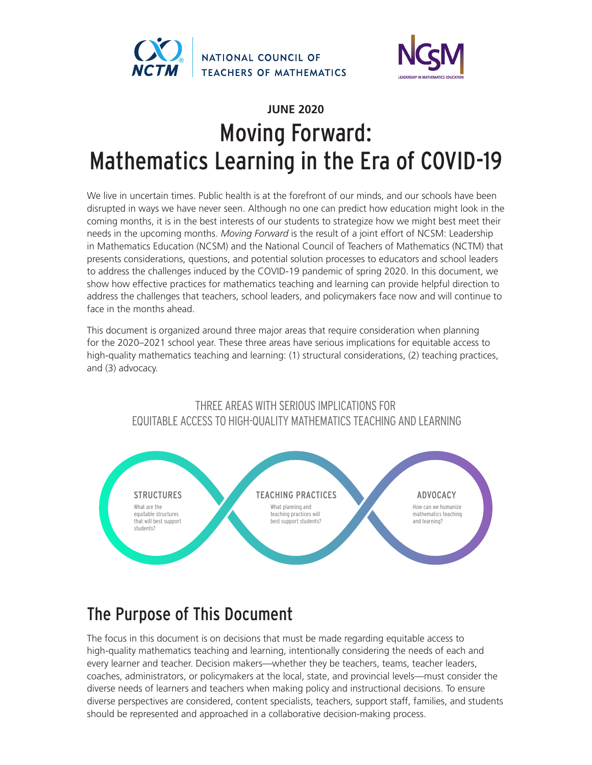



# **JUNE 2020** Moving Forward: Mathematics Learning in the Era of COVID-19

We live in uncertain times. Public health is at the forefront of our minds, and our schools have been disrupted in ways we have never seen. Although no one can predict how education might look in the coming months, it is in the best interests of our students to strategize how we might best meet their needs in the upcoming months. *Moving Forward* is the result of a joint effort of NCSM: Leadership in Mathematics Education (NCSM) and the National Council of Teachers of Mathematics (NCTM) that presents considerations, questions, and potential solution processes to educators and school leaders to address the challenges induced by the COVID-19 pandemic of spring 2020. In this document, we show how effective practices for mathematics teaching and learning can provide helpful direction to address the challenges that teachers, school leaders, and policymakers face now and will continue to face in the months ahead.

This document is organized around three major areas that require consideration when planning for the 2020–2021 school year. These three areas have serious implications for equitable access to high-quality mathematics teaching and learning: (1) structural considerations, (2) teaching practices, and (3) advocacy.

# THREE AREAS WITH SERIOUS IMPLICATIONS FOR EQUITABLE ACCESS TO HIGH-QUALITY MATHEMATICS TEACHING AND LEARNING



# The Purpose of This Document

The focus in this document is on decisions that must be made regarding equitable access to high-quality mathematics teaching and learning, intentionally considering the needs of each and every learner and teacher. Decision makers—whether they be teachers, teams, teacher leaders, coaches, administrators, or policymakers at the local, state, and provincial levels—must consider the diverse needs of learners and teachers when making policy and instructional decisions. To ensure diverse perspectives are considered, content specialists, teachers, support staff, families, and students should be represented and approached in a collaborative decision-making process.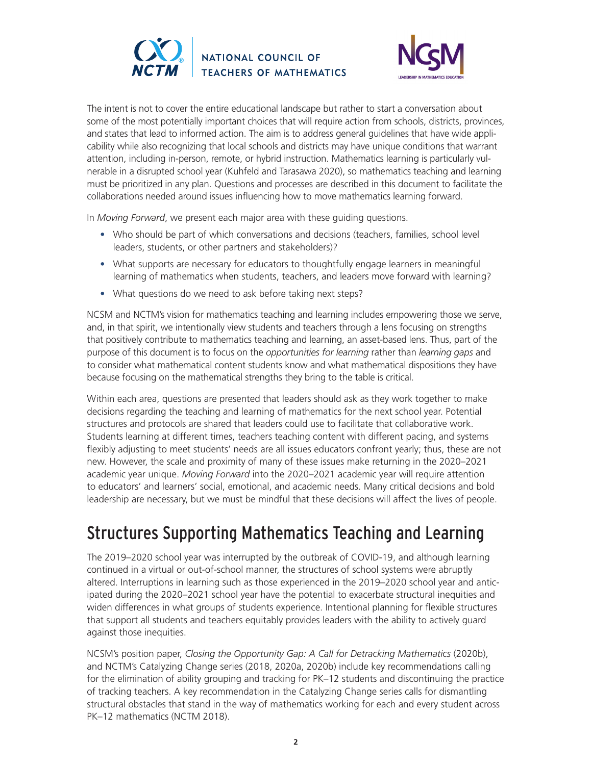



The intent is not to cover the entire educational landscape but rather to start a conversation about some of the most potentially important choices that will require action from schools, districts, provinces, and states that lead to informed action. The aim is to address general guidelines that have wide applicability while also recognizing that local schools and districts may have unique conditions that warrant attention, including in-person, remote, or hybrid instruction. Mathematics learning is particularly vulnerable in a disrupted school year (Kuhfeld and Tarasawa 2020), so mathematics teaching and learning must be prioritized in any plan. Questions and processes are described in this document to facilitate the collaborations needed around issues influencing how to move mathematics learning forward.

In *Moving Forward*, we present each major area with these guiding questions.

- Who should be part of which conversations and decisions (teachers, families, school level leaders, students, or other partners and stakeholders)?
- What supports are necessary for educators to thoughtfully engage learners in meaningful learning of mathematics when students, teachers, and leaders move forward with learning?
- What questions do we need to ask before taking next steps?

NCSM and NCTM's vision for mathematics teaching and learning includes empowering those we serve, and, in that spirit, we intentionally view students and teachers through a lens focusing on strengths that positively contribute to mathematics teaching and learning, an asset-based lens. Thus, part of the purpose of this document is to focus on the *opportunities for learning* rather than *learning gaps* and to consider what mathematical content students know and what mathematical dispositions they have because focusing on the mathematical strengths they bring to the table is critical.

Within each area, questions are presented that leaders should ask as they work together to make decisions regarding the teaching and learning of mathematics for the next school year. Potential structures and protocols are shared that leaders could use to facilitate that collaborative work. Students learning at different times, teachers teaching content with different pacing, and systems flexibly adjusting to meet students' needs are all issues educators confront yearly; thus, these are not new. However, the scale and proximity of many of these issues make returning in the 2020–2021 academic year unique. *Moving Forward* into the 2020–2021 academic year will require attention to educators' and learners' social, emotional, and academic needs. Many critical decisions and bold leadership are necessary, but we must be mindful that these decisions will affect the lives of people.

# Structures Supporting Mathematics Teaching and Learning

The 2019–2020 school year was interrupted by the outbreak of COVID-19, and although learning continued in a virtual or out-of-school manner, the structures of school systems were abruptly altered. Interruptions in learning such as those experienced in the 2019–2020 school year and anticipated during the 2020–2021 school year have the potential to exacerbate structural inequities and widen differences in what groups of students experience. Intentional planning for flexible structures that support all students and teachers equitably provides leaders with the ability to actively guard against those inequities.

NCSM's position paper, *Closing the Opportunity Gap: A Call for Detracking Mathematics* (2020b), and NCTM's Catalyzing Change series (2018, 2020a, 2020b) include key recommendations calling for the elimination of ability grouping and tracking for PK–12 students and discontinuing the practice of tracking teachers. A key recommendation in the Catalyzing Change series calls for dismantling structural obstacles that stand in the way of mathematics working for each and every student across PK–12 mathematics (NCTM 2018).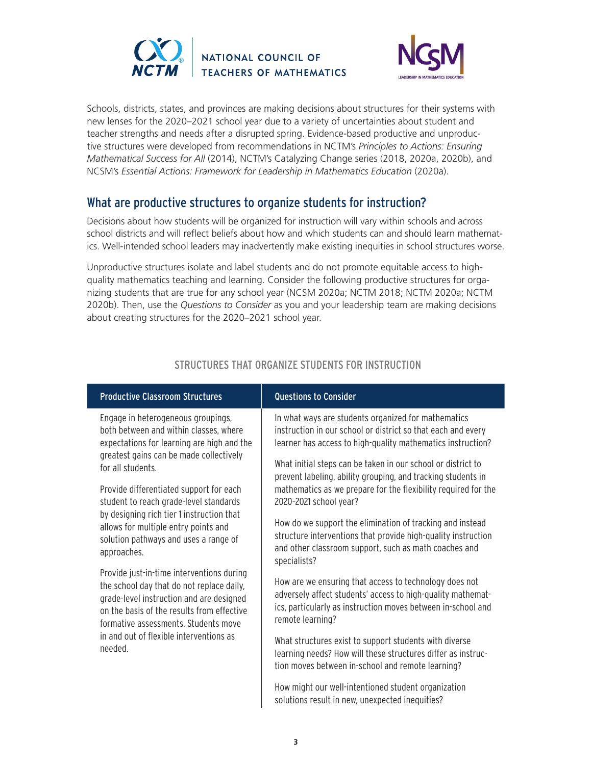



Schools, districts, states, and provinces are making decisions about structures for their systems with new lenses for the 2020–2021 school year due to a variety of uncertainties about student and teacher strengths and needs after a disrupted spring. Evidence-based productive and unproductive structures were developed from recommendations in NCTM's *Principles to Actions: Ensuring Mathematical Success for All* (2014), NCTM's Catalyzing Change series (2018, 2020a, 2020b), and NCSM's *Essential Actions: Framework for Leadership in Mathematics Education* (2020a).

# What are productive structures to organize students for instruction?

Decisions about how students will be organized for instruction will vary within schools and across school districts and will reflect beliefs about how and which students can and should learn mathematics. Well-intended school leaders may inadvertently make existing inequities in school structures worse.

Unproductive structures isolate and label students and do not promote equitable access to highquality mathematics teaching and learning. Consider the following productive structures for organizing students that are true for any school year (NCSM 2020a; NCTM 2018; NCTM 2020a; NCTM 2020b). Then, use the *Questions to Consider* as you and your leadership team are making decisions about creating structures for the 2020–2021 school year.

| <b>Productive Classroom Structures</b>     | Questions to Consider                                                                                  |
|--------------------------------------------|--------------------------------------------------------------------------------------------------------|
| Engage in heterogeneous groupings,         | In what ways are students organized for mathematics                                                    |
| both between and within classes, where     | instruction in our school or district so that each and every                                           |
| expectations for learning are high and the | learner has access to high-quality mathematics instruction?                                            |
| greatest gains can be made collectively    | What initial steps can be taken in our school or district to                                           |
| for all students.                          | prevent labeling, ability grouping, and tracking students in                                           |
| Provide differentiated support for each    | mathematics as we prepare for the flexibility required for the                                         |
| student to reach grade-level standards     | 2020-2021 school year?                                                                                 |
| by designing rich tier 1 instruction that  | How do we support the elimination of tracking and instead                                              |
| allows for multiple entry points and       | structure interventions that provide high-quality instruction                                          |
| solution pathways and uses a range of      | and other classroom support, such as math coaches and                                                  |
| approaches.                                | specialists?                                                                                           |
| Provide just-in-time interventions during  | How are we ensuring that access to technology does not                                                 |
| the school day that do not replace daily,  | adversely affect students' access to high-quality mathemat-                                            |
| grade-level instruction and are designed   | ics, particularly as instruction moves between in-school and                                           |
| on the basis of the results from effective | remote learning?                                                                                       |
| formative assessments. Students move       | What structures exist to support students with diverse                                                 |
| in and out of flexible interventions as    | learning needs? How will these structures differ as instruc-                                           |
| needed.                                    | tion moves between in-school and remote learning?                                                      |
|                                            | How might our well-intentioned student organization<br>solutions result in new, unexpected inequities? |

### STRUCTURES THAT ORGANIZE STUDENTS FOR INSTRUCTION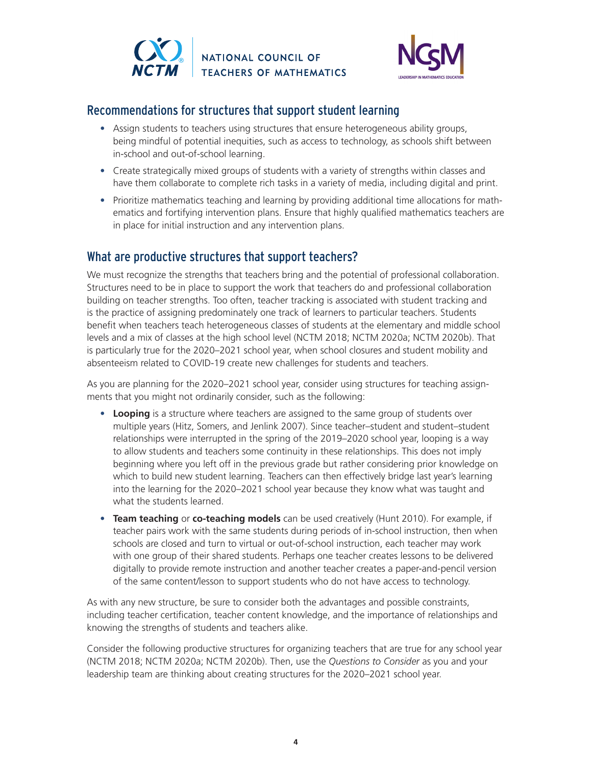



## Recommendations for structures that support student learning

- Assign students to teachers using structures that ensure heterogeneous ability groups, being mindful of potential inequities, such as access to technology, as schools shift between in-school and out-of-school learning.
- Create strategically mixed groups of students with a variety of strengths within classes and have them collaborate to complete rich tasks in a variety of media, including digital and print.
- Prioritize mathematics teaching and learning by providing additional time allocations for mathematics and fortifying intervention plans. Ensure that highly qualified mathematics teachers are in place for initial instruction and any intervention plans.

# What are productive structures that support teachers?

We must recognize the strengths that teachers bring and the potential of professional collaboration. Structures need to be in place to support the work that teachers do and professional collaboration building on teacher strengths. Too often, teacher tracking is associated with student tracking and is the practice of assigning predominately one track of learners to particular teachers. Students benefit when teachers teach heterogeneous classes of students at the elementary and middle school levels and a mix of classes at the high school level (NCTM 2018; NCTM 2020a; NCTM 2020b). That is particularly true for the 2020–2021 school year, when school closures and student mobility and absenteeism related to COVID-19 create new challenges for students and teachers.

As you are planning for the 2020–2021 school year, consider using structures for teaching assignments that you might not ordinarily consider, such as the following:

- **• Looping** is a structure where teachers are assigned to the same group of students over multiple years (Hitz, Somers, and Jenlink 2007). Since teacher–student and student–student relationships were interrupted in the spring of the 2019–2020 school year, looping is a way to allow students and teachers some continuity in these relationships. This does not imply beginning where you left off in the previous grade but rather considering prior knowledge on which to build new student learning. Teachers can then effectively bridge last year's learning into the learning for the 2020–2021 school year because they know what was taught and what the students learned.
- **• Team teaching** or **co-teaching models** can be used creatively (Hunt 2010). For example, if teacher pairs work with the same students during periods of in-school instruction, then when schools are closed and turn to virtual or out-of-school instruction, each teacher may work with one group of their shared students. Perhaps one teacher creates lessons to be delivered digitally to provide remote instruction and another teacher creates a paper-and-pencil version of the same content/lesson to support students who do not have access to technology.

As with any new structure, be sure to consider both the advantages and possible constraints, including teacher certification, teacher content knowledge, and the importance of relationships and knowing the strengths of students and teachers alike.

Consider the following productive structures for organizing teachers that are true for any school year (NCTM 2018; NCTM 2020a; NCTM 2020b). Then, use the *Questions to Consider* as you and your leadership team are thinking about creating structures for the 2020–2021 school year.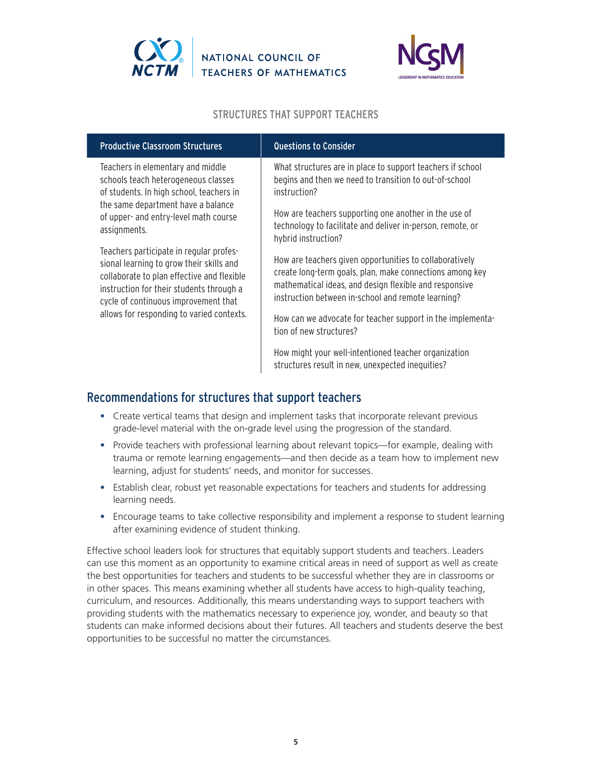



### STRUCTURES THAT SUPPORT TEACHERS

| <b>Productive Classroom Structures</b>                                                                                                                                                                                                                                                                                                                            | <b>Questions to Consider</b>                                                                                                                                                                                                        |
|-------------------------------------------------------------------------------------------------------------------------------------------------------------------------------------------------------------------------------------------------------------------------------------------------------------------------------------------------------------------|-------------------------------------------------------------------------------------------------------------------------------------------------------------------------------------------------------------------------------------|
| Teachers in elementary and middle<br>schools teach heterogeneous classes<br>of students. In high school, teachers in                                                                                                                                                                                                                                              | What structures are in place to support teachers if school<br>begins and then we need to transition to out-of-school<br>instruction?                                                                                                |
| the same department have a balance<br>of upper- and entry-level math course<br>assignments.<br>Teachers participate in regular profes-<br>sional learning to grow their skills and<br>collaborate to plan effective and flexible<br>instruction for their students through a<br>cycle of continuous improvement that<br>allows for responding to varied contexts. | How are teachers supporting one another in the use of<br>technology to facilitate and deliver in-person, remote, or<br>hybrid instruction?                                                                                          |
|                                                                                                                                                                                                                                                                                                                                                                   | How are teachers given opportunities to collaboratively<br>create long-term goals, plan, make connections among key<br>mathematical ideas, and design flexible and responsive<br>instruction between in-school and remote learning? |
|                                                                                                                                                                                                                                                                                                                                                                   | How can we advocate for teacher support in the implementa-<br>tion of new structures?                                                                                                                                               |
|                                                                                                                                                                                                                                                                                                                                                                   | How might your well-intentioned teacher organization<br>structures result in new, unexpected inequities?                                                                                                                            |

## Recommendations for structures that support teachers

- Create vertical teams that design and implement tasks that incorporate relevant previous grade-level material with the on-grade level using the progression of the standard.
- Provide teachers with professional learning about relevant topics—for example, dealing with trauma or remote learning engagements—and then decide as a team how to implement new learning, adjust for students' needs, and monitor for successes.
- Establish clear, robust yet reasonable expectations for teachers and students for addressing learning needs.
- Encourage teams to take collective responsibility and implement a response to student learning after examining evidence of student thinking.

Effective school leaders look for structures that equitably support students and teachers. Leaders can use this moment as an opportunity to examine critical areas in need of support as well as create the best opportunities for teachers and students to be successful whether they are in classrooms or in other spaces. This means examining whether all students have access to high-quality teaching, curriculum, and resources. Additionally, this means understanding ways to support teachers with providing students with the mathematics necessary to experience joy, wonder, and beauty so that students can make informed decisions about their futures. All teachers and students deserve the best opportunities to be successful no matter the circumstances.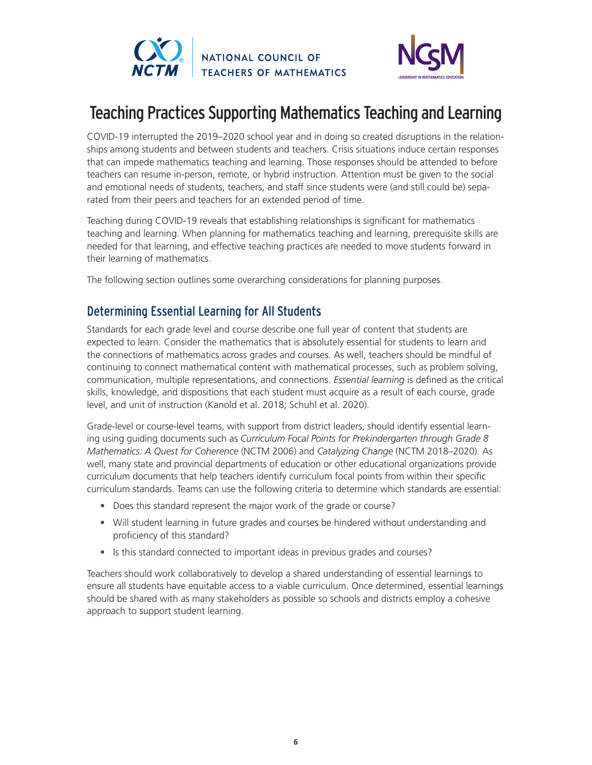



# Teaching Practices Supporting Mathematics Teaching and Learning

COVID-19 interrupted the 2019–2020 school year and in doing so created disruptions in the relationships among students and between students and teachers. Crisis situations induce certain responses that can impede mathematics teaching and learning. Those responses should be attended to before teachers can resume in-person, remote, or hybrid instruction. Attention must be given to the social and emotional needs of students, teachers, and staff since students were (and still could be) separated from their peers and teachers for an extended period of time.

Teaching during COVID-19 reveals that establishing relationships is significant for mathematics teaching and learning. When planning for mathematics teaching and learning, prerequisite skills are needed for that learning, and effective teaching practices are needed to move students forward in their learning of mathematics.

The following section outlines some overarching considerations for planning purposes.

# Determining Essential Learning for All Students

Standards for each grade level and course describe one full year of content that students are expected to learn. Consider the mathematics that is absolutely essential for students to learn and the connections of mathematics across grades and courses. As well, teachers should be mindful of continuing to connect mathematical content with mathematical processes, such as problem solving, communication, multiple representations, and connections. *Essential learning* is defined as the critical skills, knowledge, and dispositions that each student must acquire as a result of each course, grade level, and unit of instruction (Kanold et al. 2018; Schuhl et al. 2020).

Grade-level or course-level teams, with support from district leaders, should identify essential learning using guiding documents such as *Curriculum Focal Points for Prekindergarten through Grade 8 Mathematics: A Quest for Coherence* (NCTM 2006) and *Catalyzing Change* (NCTM 2018–2020). As well, many state and provincial departments of education or other educational organizations provide curriculum documents that help teachers identify curriculum focal points from within their specific curriculum standards. Teams can use the following criteria to determine which standards are essential:

- Does this standard represent the major work of the grade or course?
- Will student learning in future grades and courses be hindered without understanding and proficiency of this standard?
- Is this standard connected to important ideas in previous grades and courses?

Teachers should work collaboratively to develop a shared understanding of essential learnings to ensure all students have equitable access to a viable curriculum. Once determined, essential learnings should be shared with as many stakeholders as possible so schools and districts employ a cohesive approach to support student learning.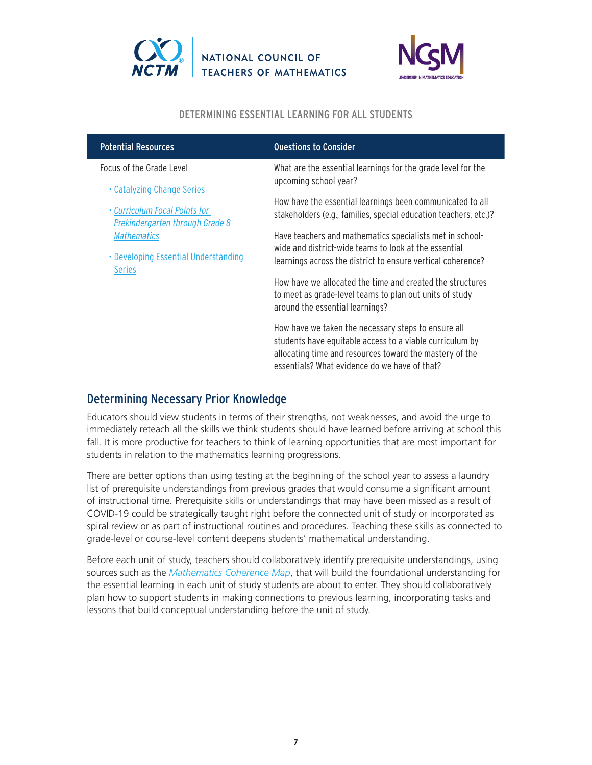



### DETERMINING ESSENTIAL LEARNING FOR ALL STUDENTS

| <b>Potential Resources</b>                                                                     | <b>Questions to Consider</b>                                                                                                                                                                                                |
|------------------------------------------------------------------------------------------------|-----------------------------------------------------------------------------------------------------------------------------------------------------------------------------------------------------------------------------|
| Focus of the Grade Level                                                                       | What are the essential learnings for the grade level for the<br>upcoming school year?                                                                                                                                       |
| • Catalyzing Change Series<br>• Curriculum Focal Points for<br>Prekindergarten through Grade 8 | How have the essential learnings been communicated to all<br>stakeholders (e.g., families, special education teachers, etc.)?                                                                                               |
| Mathematics<br>• Developing Essential Understanding<br><b>Series</b>                           | Have teachers and mathematics specialists met in school-<br>wide and district-wide teams to look at the essential<br>learnings across the district to ensure vertical coherence?                                            |
|                                                                                                | How have we allocated the time and created the structures<br>to meet as grade-level teams to plan out units of study<br>around the essential learnings?                                                                     |
|                                                                                                | How have we taken the necessary steps to ensure all<br>students have equitable access to a viable curriculum by<br>allocating time and resources toward the mastery of the<br>essentials? What evidence do we have of that? |
|                                                                                                |                                                                                                                                                                                                                             |

# Determining Necessary Prior Knowledge

Educators should view students in terms of their strengths, not weaknesses, and avoid the urge to immediately reteach all the skills we think students should have learned before arriving at school this fall. It is more productive for teachers to think of learning opportunities that are most important for students in relation to the mathematics learning progressions.

There are better options than using testing at the beginning of the school year to assess a laundry list of prerequisite understandings from previous grades that would consume a significant amount of instructional time. Prerequisite skills or understandings that may have been missed as a result of COVID-19 could be strategically taught right before the connected unit of study or incorporated as spiral review or as part of instructional routines and procedures. Teaching these skills as connected to grade-level or course-level content deepens students' mathematical understanding.

Before each unit of study, teachers should collaboratively identify prerequisite understandings, using sources such as the *[Mathematics Coherence Map](https://achievethecore.org/coherence-map/)*, that will build the foundational understanding for the essential learning in each unit of study students are about to enter. They should collaboratively plan how to support students in making connections to previous learning, incorporating tasks and lessons that build conceptual understanding before the unit of study.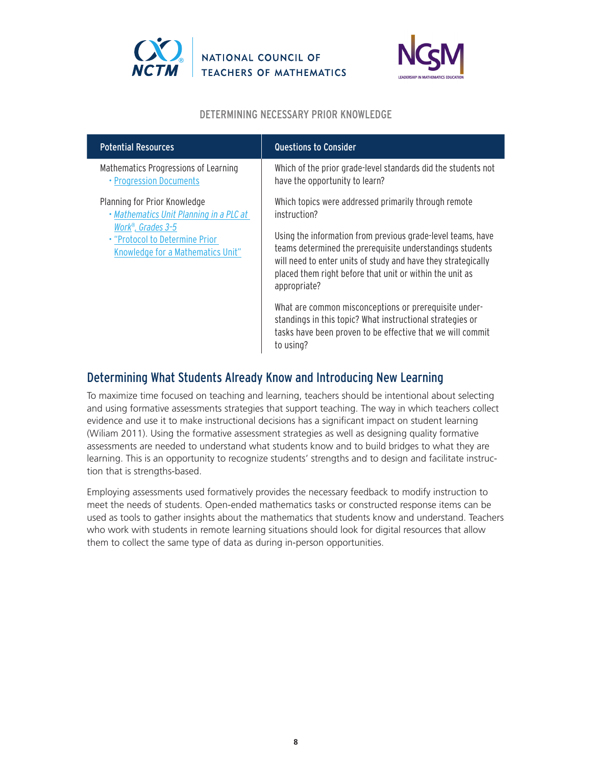



### DETERMINING NECESSARY PRIOR KNOWLEDGE

| <b>Potential Resources</b>                                                               | <b>Questions to Consider</b>                                                                                                                                                                                                                                          |
|------------------------------------------------------------------------------------------|-----------------------------------------------------------------------------------------------------------------------------------------------------------------------------------------------------------------------------------------------------------------------|
| Mathematics Progressions of Learning<br>• Progression Documents                          | Which of the prior grade-level standards did the students not<br>have the opportunity to learn?                                                                                                                                                                       |
| Planning for Prior Knowledge<br>• Mathematics Unit Planning in a PLC at                  | Which topics were addressed primarily through remote<br>instruction?                                                                                                                                                                                                  |
| Work®, Grades 3-5<br>. "Protocol to Determine Prior<br>Knowledge for a Mathematics Unit" | Using the information from previous grade-level teams, have<br>teams determined the prerequisite understandings students<br>will need to enter units of study and have they strategically<br>placed them right before that unit or within the unit as<br>appropriate? |
|                                                                                          | What are common misconceptions or prerequisite under-<br>standings in this topic? What instructional strategies or<br>tasks have been proven to be effective that we will commit<br>to using?                                                                         |

# Determining What Students Already Know and Introducing New Learning

To maximize time focused on teaching and learning, teachers should be intentional about selecting and using formative assessments strategies that support teaching. The way in which teachers collect evidence and use it to make instructional decisions has a significant impact on student learning (Wiliam 2011). Using the formative assessment strategies as well as designing quality formative assessments are needed to understand what students know and to build bridges to what they are learning. This is an opportunity to recognize students' strengths and to design and facilitate instruction that is strengths-based.

Employing assessments used formatively provides the necessary feedback to modify instruction to meet the needs of students. Open-ended mathematics tasks or constructed response items can be used as tools to gather insights about the mathematics that students know and understand. Teachers who work with students in remote learning situations should look for digital resources that allow them to collect the same type of data as during in-person opportunities.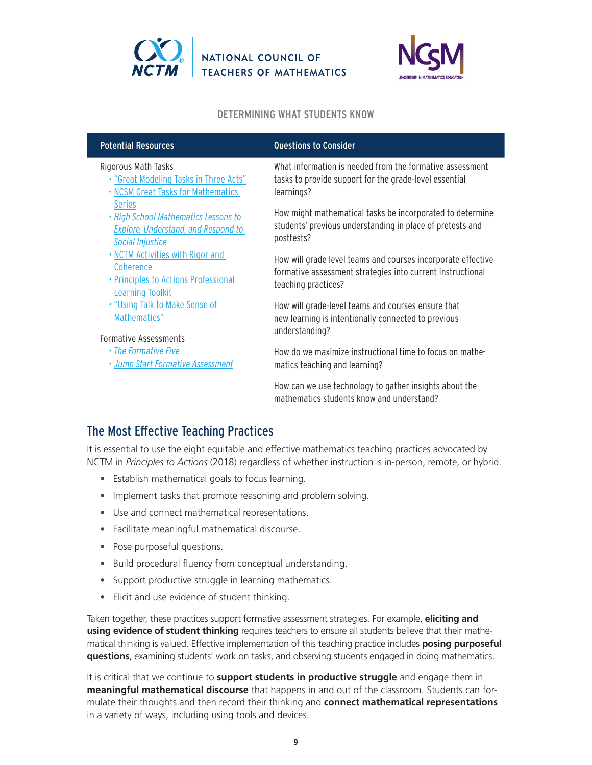



#### DETERMINING WHAT STUDENTS KNOW

| <b>Potential Resources</b>                                                                                              | <b>Questions to Consider</b>                                                                                                                      |
|-------------------------------------------------------------------------------------------------------------------------|---------------------------------------------------------------------------------------------------------------------------------------------------|
| Rigorous Math Tasks<br>. "Great Modeling Tasks in Three Acts"<br>. NCSM Great Tasks for Mathematics                     | What information is needed from the formative assessment<br>tasks to provide support for the grade-level essential<br>learnings?                  |
| <b>Series</b><br>. High School Mathematics Lessons to<br><b>Explore, Understand, and Respond to</b><br>Social Injustice | How might mathematical tasks be incorporated to determine<br>students' previous understanding in place of pretests and<br>posttests?              |
| . NCTM Activities with Rigor and<br>Coherence<br>• Principles to Actions Professional<br><b>Learning Toolkit</b>        | How will grade level teams and courses incorporate effective<br>formative assessment strategies into current instructional<br>teaching practices? |
| . "Using Talk to Make Sense of<br>Mathematics"<br><b>Formative Assessments</b>                                          | How will grade-level teams and courses ensure that<br>new learning is intentionally connected to previous<br>understanding?                       |
| • The Formative Five<br>· Jump Start Formative Assessment                                                               | How do we maximize instructional time to focus on mathe-<br>matics teaching and learning?                                                         |
|                                                                                                                         | How can we use technology to gather insights about the<br>mathematics students know and understand?                                               |

# The Most Effective Teaching Practices

It is essential to use the eight equitable and effective mathematics teaching practices advocated by NCTM in *Principles to Actions* (2018) regardless of whether instruction is in-person, remote, or hybrid.

- Establish mathematical goals to focus learning.
- Implement tasks that promote reasoning and problem solving.
- Use and connect mathematical representations.
- Facilitate meaningful mathematical discourse.
- Pose purposeful questions.
- Build procedural fluency from conceptual understanding.
- Support productive struggle in learning mathematics.
- Elicit and use evidence of student thinking.

Taken together, these practices support formative assessment strategies. For example, **eliciting and using evidence of student thinking** requires teachers to ensure all students believe that their mathematical thinking is valued. Effective implementation of this teaching practice includes **posing purposeful questions**, examining students' work on tasks, and observing students engaged in doing mathematics.

It is critical that we continue to **support students in productive struggle** and engage them in **meaningful mathematical discourse** that happens in and out of the classroom. Students can formulate their thoughts and then record their thinking and **connect mathematical representations** in a variety of ways, including using tools and devices.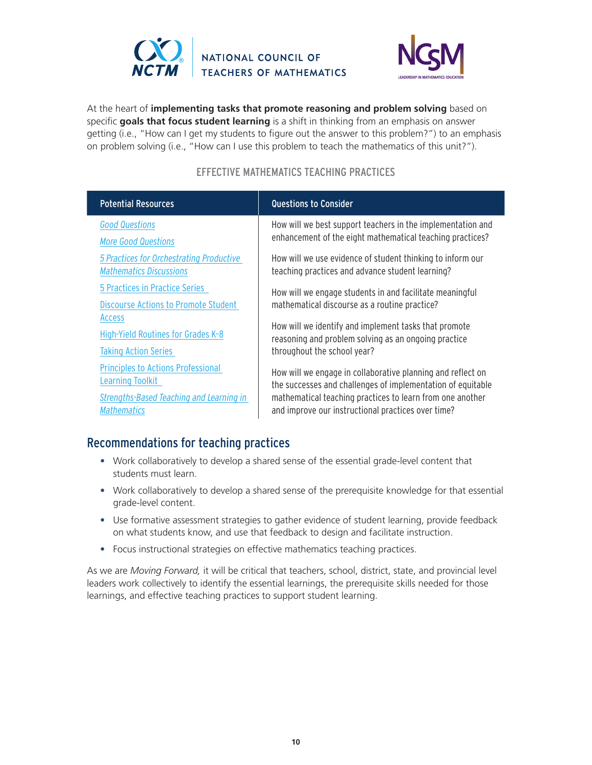



At the heart of **implementing tasks that promote reasoning and problem solving** based on specific **goals that focus student learning** is a shift in thinking from an emphasis on answer getting (i.e., "How can I get my students to figure out the answer to this problem?") to an emphasis on problem solving (i.e., "How can I use this problem to teach the mathematics of this unit?").

### EFFECTIVE MATHEMATICS TEACHING PRACTICES

| <b>Potential Resources</b>                      | <b>Questions to Consider</b>                                |
|-------------------------------------------------|-------------------------------------------------------------|
| <b>Good Questions</b>                           | How will we best support teachers in the implementation and |
| <b>More Good Questions</b>                      | enhancement of the eight mathematical teaching practices?   |
| 5 Practices for Orchestrating Productive        | How will we use evidence of student thinking to inform our  |
| <b>Mathematics Discussions</b>                  | teaching practices and advance student learning?            |
| 5 Practices in Practice Series                  | How will we engage students in and facilitate meaningful    |
| <b>Discourse Actions to Promote Student</b>     | mathematical discourse as a routine practice?               |
| <b>Access</b>                                   | How will we identify and implement tasks that promote       |
| High-Yield Routines for Grades K-8              | reasoning and problem solving as an ongoing practice        |
| <b>Taking Action Series</b>                     | throughout the school year?                                 |
| <b>Principles to Actions Professional</b>       | How will we engage in collaborative planning and reflect on |
| Learning Toolkit                                | the successes and challenges of implementation of equitable |
| <b>Strengths-Based Teaching and Learning in</b> | mathematical teaching practices to learn from one another   |
| Mathematics                                     | and improve our instructional practices over time?          |

## Recommendations for teaching practices

- Work collaboratively to develop a shared sense of the essential grade-level content that students must learn.
- Work collaboratively to develop a shared sense of the prerequisite knowledge for that essential grade-level content.
- Use formative assessment strategies to gather evidence of student learning, provide feedback on what students know, and use that feedback to design and facilitate instruction.
- Focus instructional strategies on effective mathematics teaching practices.

As we are *Moving Forward,* it will be critical that teachers, school, district, state, and provincial level leaders work collectively to identify the essential learnings, the prerequisite skills needed for those learnings, and effective teaching practices to support student learning.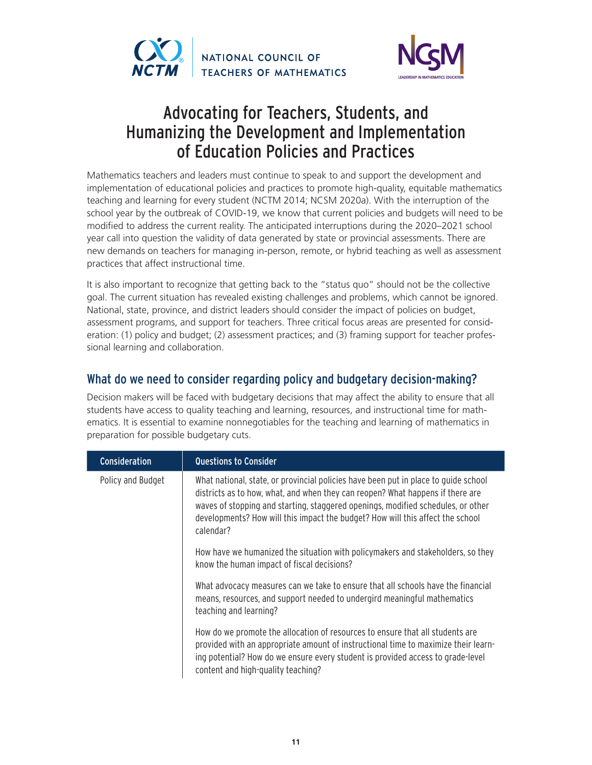



# Advocating for Teachers, Students, and Humanizing the Development and Implementation of Education Policies and Practices

Mathematics teachers and leaders must continue to speak to and support the development and implementation of educational policies and practices to promote high-quality, equitable mathematics teaching and learning for every student (NCTM 2014; NCSM 2020a). With the interruption of the school year by the outbreak of COVID-19, we know that current policies and budgets will need to be modified to address the current reality. The anticipated interruptions during the 2020–2021 school year call into question the validity of data generated by state or provincial assessments. There are new demands on teachers for managing in-person, remote, or hybrid teaching as well as assessment practices that affect instructional time.

It is also important to recognize that getting back to the "status quo" should not be the collective goal. The current situation has revealed existing challenges and problems, which cannot be ignored. National, state, province, and district leaders should consider the impact of policies on budget, assessment programs, and support for teachers. Three critical focus areas are presented for consideration: (1) policy and budget; (2) assessment practices; and (3) framing support for teacher professional learning and collaboration.

# What do we need to consider regarding policy and budgetary decision-making?

Decision makers will be faced with budgetary decisions that may affect the ability to ensure that all students have access to quality teaching and learning, resources, and instructional time for mathematics. It is essential to examine nonnegotiables for the teaching and learning of mathematics in preparation for possible budgetary cuts.

| Consideration     | <b>Questions to Consider</b>                                                                                                                                                                                                                                                                                                                             |
|-------------------|----------------------------------------------------------------------------------------------------------------------------------------------------------------------------------------------------------------------------------------------------------------------------------------------------------------------------------------------------------|
| Policy and Budget | What national, state, or provincial policies have been put in place to guide school<br>districts as to how, what, and when they can reopen? What happens if there are<br>waves of stopping and starting, staggered openings, modified schedules, or other<br>developments? How will this impact the budget? How will this affect the school<br>calendar? |
|                   | How have we humanized the situation with policymakers and stakeholders, so they<br>know the human impact of fiscal decisions?                                                                                                                                                                                                                            |
|                   | What advocacy measures can we take to ensure that all schools have the financial<br>means, resources, and support needed to undergird meaningful mathematics<br>teaching and learning?                                                                                                                                                                   |
|                   | How do we promote the allocation of resources to ensure that all students are<br>provided with an appropriate amount of instructional time to maximize their learn-<br>ing potential? How do we ensure every student is provided access to grade-level<br>content and high-quality teaching?                                                             |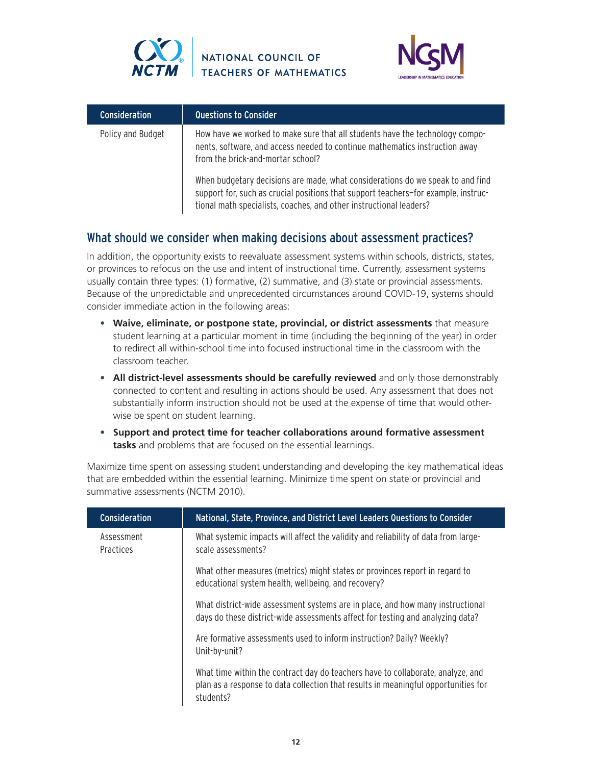



| <b>Consideration</b> | <b>Questions to Consider</b>                                                                                                                                                                                                               |
|----------------------|--------------------------------------------------------------------------------------------------------------------------------------------------------------------------------------------------------------------------------------------|
| Policy and Budget    | How have we worked to make sure that all students have the technology compo-<br>nents, software, and access needed to continue mathematics instruction away<br>from the brick-and-mortar school?                                           |
|                      | When budgetary decisions are made, what considerations do we speak to and find<br>support for, such as crucial positions that support teachers-for example, instruc-<br>tional math specialists, coaches, and other instructional leaders? |

## What should we consider when making decisions about assessment practices?

In addition, the opportunity exists to reevaluate assessment systems within schools, districts, states, or provinces to refocus on the use and intent of instructional time. Currently, assessment systems usually contain three types: (1) formative, (2) summative, and (3) state or provincial assessments. Because of the unpredictable and unprecedented circumstances around COVID-19, systems should consider immediate action in the following areas:

- **• Waive, eliminate, or postpone state, provincial, or district assessments** that measure student learning at a particular moment in time (including the beginning of the year) in order to redirect all within-school time into focused instructional time in the classroom with the classroom teacher.
- All district-level assessments should be carefully reviewed and only those demonstrably connected to content and resulting in actions should be used. Any assessment that does not substantially inform instruction should not be used at the expense of time that would otherwise be spent on student learning.
- **• Support and protect time for teacher collaborations around formative assessment tasks** and problems that are focused on the essential learnings.

Maximize time spent on assessing student understanding and developing the key mathematical ideas that are embedded within the essential learning. Minimize time spent on state or provincial and summative assessments (NCTM 2010).

| <b>Consideration</b>    | National, State, Province, and District Level Leaders Questions to Consider                                                                                                        |
|-------------------------|------------------------------------------------------------------------------------------------------------------------------------------------------------------------------------|
| Assessment<br>Practices | What systemic impacts will affect the validity and reliability of data from large-<br>scale assessments?                                                                           |
|                         | What other measures (metrics) might states or provinces report in regard to<br>educational system health, wellbeing, and recovery?                                                 |
|                         | What district-wide assessment systems are in place, and how many instructional<br>days do these district-wide assessments affect for testing and analyzing data?                   |
|                         | Are formative assessments used to inform instruction? Daily? Weekly?<br>Unit-by-unit?                                                                                              |
|                         | What time within the contract day do teachers have to collaborate, analyze, and<br>plan as a response to data collection that results in meaningful opportunities for<br>students? |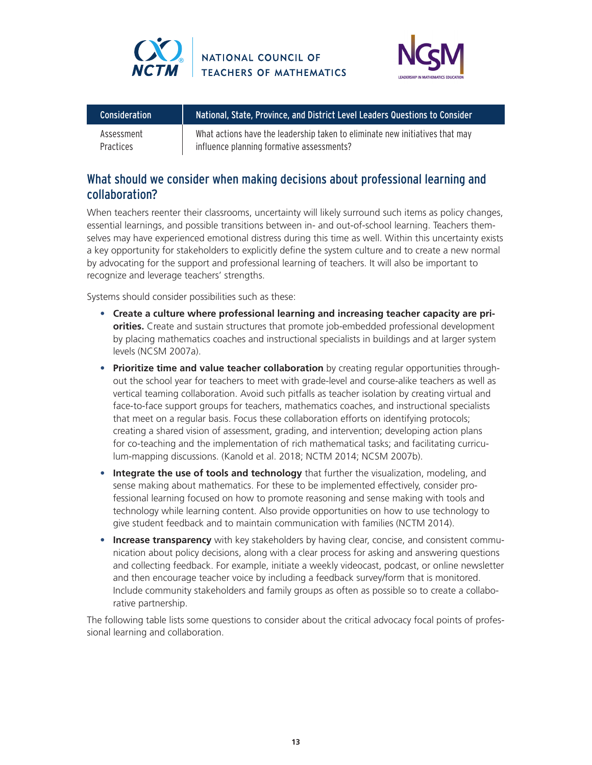



| <b>Consideration</b> | National, State, Province, and District Level Leaders Que <u>stions to Consider ba</u> |
|----------------------|----------------------------------------------------------------------------------------|
| Assessment           | What actions have the leadership taken to eliminate new initiatives that may           |
| <b>Practices</b>     | influence planning formative assessments?                                              |

## What should we consider when making decisions about professional learning and collaboration?

When teachers reenter their classrooms, uncertainty will likely surround such items as policy changes, essential learnings, and possible transitions between in- and out-of-school learning. Teachers themselves may have experienced emotional distress during this time as well. Within this uncertainty exists a key opportunity for stakeholders to explicitly define the system culture and to create a new normal by advocating for the support and professional learning of teachers. It will also be important to recognize and leverage teachers' strengths.

Systems should consider possibilities such as these:

- **• Create a culture where professional learning and increasing teacher capacity are priorities.** Create and sustain structures that promote job-embedded professional development by placing mathematics coaches and instructional specialists in buildings and at larger system levels (NCSM 2007a).
- **• Prioritize time and value teacher collaboration** by creating regular opportunities throughout the school year for teachers to meet with grade-level and course-alike teachers as well as vertical teaming collaboration. Avoid such pitfalls as teacher isolation by creating virtual and face-to-face support groups for teachers, mathematics coaches, and instructional specialists that meet on a regular basis. Focus these collaboration efforts on identifying protocols; creating a shared vision of assessment, grading, and intervention; developing action plans for co-teaching and the implementation of rich mathematical tasks; and facilitating curriculum-mapping discussions. (Kanold et al. 2018; NCTM 2014; NCSM 2007b).
- **• Integrate the use of tools and technology** that further the visualization, modeling, and sense making about mathematics. For these to be implemented effectively, consider professional learning focused on how to promote reasoning and sense making with tools and technology while learning content. Also provide opportunities on how to use technology to give student feedback and to maintain communication with families (NCTM 2014).
- **• Increase transparency** with key stakeholders by having clear, concise, and consistent communication about policy decisions, along with a clear process for asking and answering questions and collecting feedback. For example, initiate a weekly videocast, podcast, or online newsletter and then encourage teacher voice by including a feedback survey/form that is monitored. Include community stakeholders and family groups as often as possible so to create a collaborative partnership.

The following table lists some questions to consider about the critical advocacy focal points of professional learning and collaboration.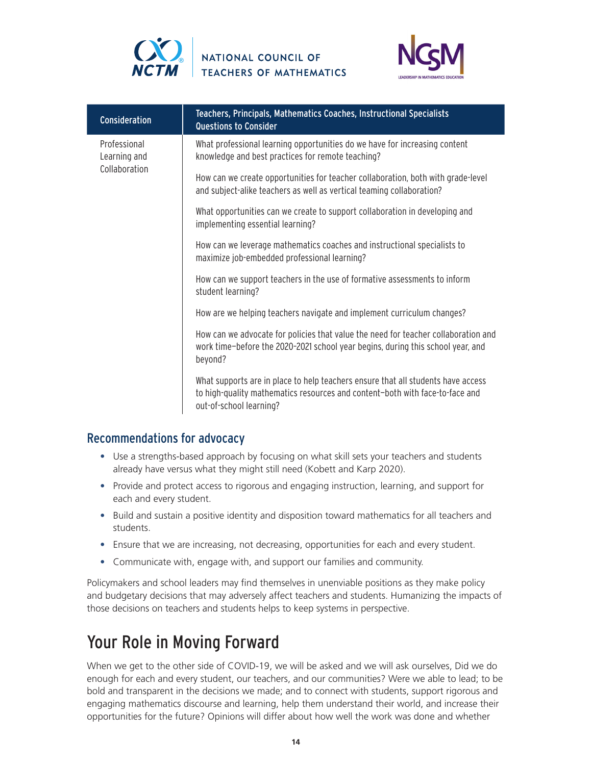



| Consideration                                 | Teachers, Principals, Mathematics Coaches, Instructional Specialists<br>Questions to Consider                                                                                               |
|-----------------------------------------------|---------------------------------------------------------------------------------------------------------------------------------------------------------------------------------------------|
| Professional<br>Learning and<br>Collaboration | What professional learning opportunities do we have for increasing content<br>knowledge and best practices for remote teaching?                                                             |
|                                               | How can we create opportunities for teacher collaboration, both with grade-level<br>and subject-alike teachers as well as vertical teaming collaboration?                                   |
|                                               | What opportunities can we create to support collaboration in developing and<br>implementing essential learning?                                                                             |
|                                               | How can we leverage mathematics coaches and instructional specialists to<br>maximize job-embedded professional learning?                                                                    |
|                                               | How can we support teachers in the use of formative assessments to inform<br>student learning?                                                                                              |
|                                               | How are we helping teachers navigate and implement curriculum changes?                                                                                                                      |
|                                               | How can we advocate for policies that value the need for teacher collaboration and<br>work time-before the 2020-2021 school year begins, during this school year, and<br>beyond?            |
|                                               | What supports are in place to help teachers ensure that all students have access<br>to high-quality mathematics resources and content-both with face-to-face and<br>out-of-school learning? |

## Recommendations for advocacy

- Use a strengths-based approach by focusing on what skill sets your teachers and students already have versus what they might still need (Kobett and Karp 2020).
- Provide and protect access to rigorous and engaging instruction, learning, and support for each and every student.
- Build and sustain a positive identity and disposition toward mathematics for all teachers and students.
- Ensure that we are increasing, not decreasing, opportunities for each and every student.
- Communicate with, engage with, and support our families and community.

Policymakers and school leaders may find themselves in unenviable positions as they make policy and budgetary decisions that may adversely affect teachers and students. Humanizing the impacts of those decisions on teachers and students helps to keep systems in perspective.

# Your Role in Moving Forward

When we get to the other side of COVID-19, we will be asked and we will ask ourselves, Did we do enough for each and every student, our teachers, and our communities? Were we able to lead; to be bold and transparent in the decisions we made; and to connect with students, support rigorous and engaging mathematics discourse and learning, help them understand their world, and increase their opportunities for the future? Opinions will differ about how well the work was done and whether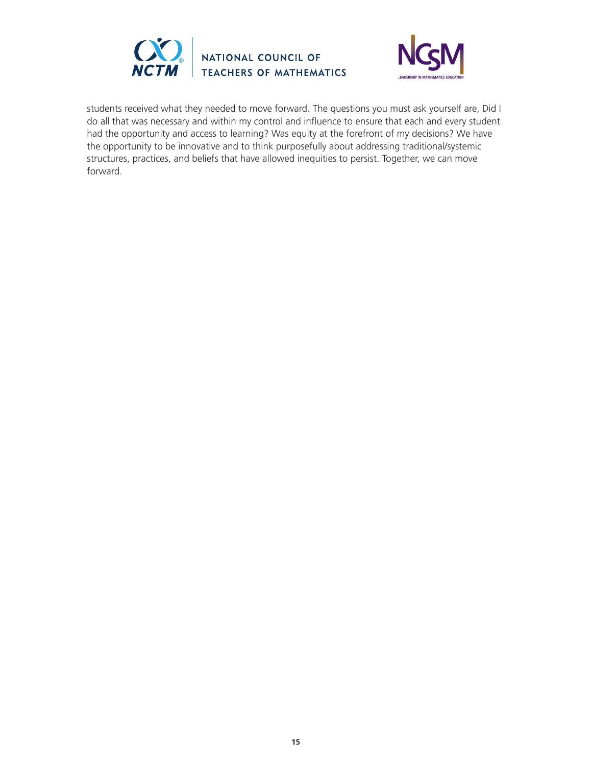



students received what they needed to move forward. The questions you must ask yourself are, Did I do all that was necessary and within my control and influence to ensure that each and every student had the opportunity and access to learning? Was equity at the forefront of my decisions? We have the opportunity to be innovative and to think purposefully about addressing traditional/systemic structures, practices, and beliefs that have allowed inequities to persist. Together, we can move forward.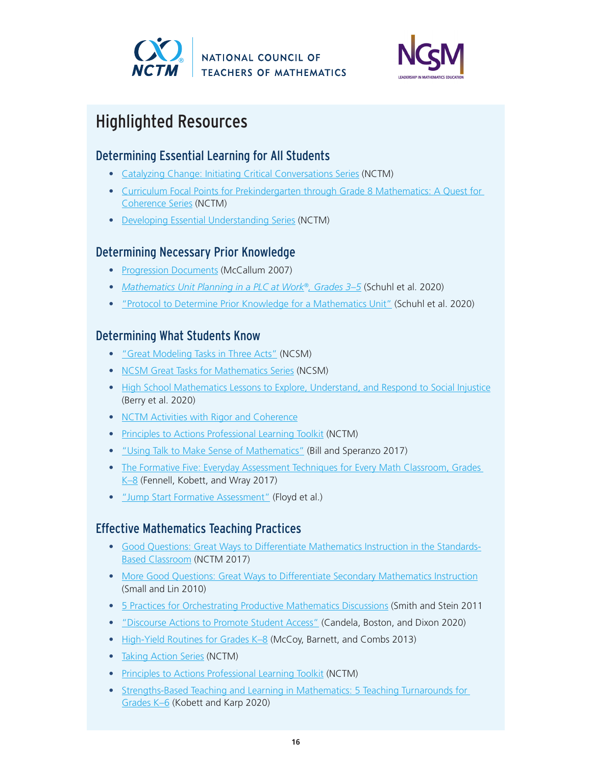



# Highlighted Resources

# Determining Essential Learning for All Students

- [Catalyzing Change: Initiating Critical Conversations Series](https://www.nctm.org/change/) (NCTM)
- [Curriculum Focal Points for Prekindergarten through Grade 8 Mathematics: A Quest for](https://www.nctm.org/curriculumfocalpoints/)  [Coherence Series](https://www.nctm.org/curriculumfocalpoints/) (NCTM)
- [Developing Essential Understanding Series](https://www.nctm.org/store/eu/) (NCTM)

## Determining Necessary Prior Knowledge

- [Progression Documents](https://docs.google.com/document/d/1NF4qLjhYBdo7TmAAgKlejOj5ci1shccwmjdAcjNPxSk/edit?usp=sharing) (McCallum 2007)
- *• [Mathematics Unit Planning in a PLC at Work®, Grades 3–5](https://www.nctm.org/Store/Products/Mathematics-Unit-Planning-in-a-PLC-at-Work%C2%AE,-Grades-3-5/)* (Schuhl et al. 2020)
- ["Protocol to Determine Prior Knowledge for a Mathematics Unit"](https://solutiontree.s3.amazonaws.com/solutiontree.com/media/pdfs/Reproducibles_MUP3-5/figure2.7protocoltodeterminepriorknowledgeforamathematicsunit.pdf) (Schuhl et al. 2020)

# Determining What Students Know

- ["Great Modeling Tasks in Three Acts"](https://www.mathedleadership.org/resources/threeacts/index.html) (NCSM)
- [NCSM Great Tasks for Mathematics Series](https://www.mathedleadership.org/ccss/greattasks.html) (NCSM)
- [High School Mathematics Lessons to Explore, Understand, and Respond to Social Injustice](https://www.nctm.org/Store/Products/High-School-Mathematics-Lessons-to-Explore,-Understand,-and-Respond-to-Social-Injustice/) (Berry et al. 2020)
- [NCTM Activities with Rigor and Coherence](https://www.nctm.org/ARCs/)
- [Principles to Actions Professional Learning Toolkit](https://www.nctm.org/PtAToolkit/) (NCTM)
- ["Using Talk to Make Sense of Mathematics"](https://www.nctm.org/Publications/Teaching-Children-Mathematics/Blog/Using-Talk-to-Make-Sense-of-Mathematics/) (Bill and Speranzo 2017)
- The Formative Five: Everyday Assessment Techniques for Every Math Classroom, Grades [K–8](https://www.nctm.org/Store/Products/The-Formative-Five--Everyday-Assessment-Techniques-for-Every-Math-Classroom,-Grades-K-8/) (Fennell, Kobett, and Wray 2017)
- ["Jump Start Formative Assessment"](https://www.mathedleadership.org/resources/jumpstart/index.html) (Floyd et al.)

# Effective Mathematics Teaching Practices

- [Good Questions: Great Ways to Differentiate Mathematics Instruction in the Standards-](https://www.nctm.org/Store/Products/Good-Questions--Great-Ways-to-Differentiate-Mathematics-Instruction-in-the-Standards-Based-Classroom,-3rd-ed-/)[Based Classroom](https://www.nctm.org/Store/Products/Good-Questions--Great-Ways-to-Differentiate-Mathematics-Instruction-in-the-Standards-Based-Classroom,-3rd-ed-/) (NCTM 2017)
- [More Good Questions: Great Ways to Differentiate Secondary Mathematics Instruction](https://www.nctm.org/store/Products/More-Good-Questions--Great-Ways-to-Differentiate-Secondary-Mathematics-Instruction/) (Small and Lin 2010)
- [5 Practices for Orchestrating Productive Mathematics Discussions](https://www.nctm.org/Store/Products/5-Practices-for-Orchestrating-Productive-Mathematics-Discussions,-2nd-edition-(eBook)/) (Smith and Stein 2011
- "[Discourse Actions to Promote Student Access](https://pubs.nctm.org/view/journals/mtlt/113/4/article-p266.xml?tab_body=pdf)" (Candela, Boston, and Dixon 2020)
- High-Yield Routines for Grades K-8 (McCoy, Barnett, and Combs 2013)
- [Taking Action Series](https://www.nctm.org/store/takingaction/) (NCTM)
- [Principles to Actions Professional Learning Toolkit](https://www.nctm.org/PtAToolkit/) (NCTM)
- [Strengths-Based Teaching and Learning in Mathematics: 5 Teaching Turnarounds for](https://www.nctm.org/Store/Products/Strengths-Based-Teaching-and-Learning-in-Mathematics--5-Teaching-Turnarounds-for-Grades-K-6/)  [Grades K–6](https://www.nctm.org/Store/Products/Strengths-Based-Teaching-and-Learning-in-Mathematics--5-Teaching-Turnarounds-for-Grades-K-6/) (Kobett and Karp 2020)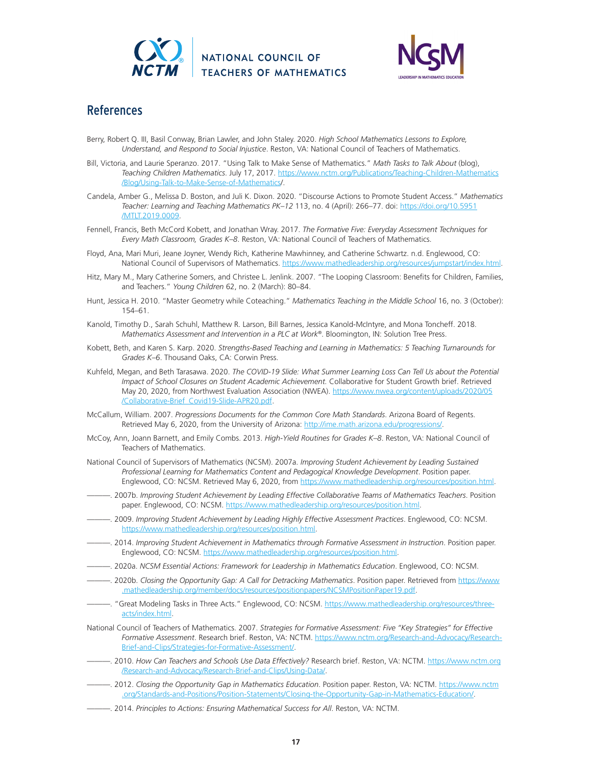



## References

- Berry, Robert Q. III, Basil Conway, Brian Lawler, and John Staley. 2020. *High School Mathematics Lessons to Explore, Understand, and Respond to Social Injustice*. Reston, VA: National Council of Teachers of Mathematics.
- Bill, Victoria, and Laurie Speranzo. 2017. "Using Talk to Make Sense of Mathematics." *Math Tasks to Talk About* (blog), *Teaching Children Mathematics*. July 17, 2017. [https://www.nctm.org/Publications/Teaching-Children-Mathematics](https://www.nctm.org/Publications/Teaching-Children-Mathematics/Blog/Using-Talk-to-Make-Sense-of-Mathematics) [/Blog/Using-Talk-to-Make-Sense-of-Mathematics](https://www.nctm.org/Publications/Teaching-Children-Mathematics/Blog/Using-Talk-to-Make-Sense-of-Mathematics)/.
- Candela, Amber G., Melissa D. Boston, and Juli K. Dixon. 2020. "Discourse Actions to Promote Student Access." *Mathematics Teacher: Learning and Teaching Mathematics PK–12* 113, no. 4 (April): 266–77. doi: [https://doi.org/10.5951](https://doi.org/10.5951/MTLT.2019.0009) [/MTLT.2019.0009](https://doi.org/10.5951/MTLT.2019.0009).
- Fennell, Francis, Beth McCord Kobett, and Jonathan Wray. 2017. *The Formative Five: Everyday Assessment Techniques for Every Math Classroom, Grades K–8*. Reston, VA: National Council of Teachers of Mathematics.
- Floyd, Ana, Mari Muri, Jeane Joyner, Wendy Rich, Katherine Mawhinney, and Catherine Schwartz. n.d. Englewood, CO: National Council of Supervisors of Mathematics.<https://www.mathedleadership.org/resources/jumpstart/index.html>.
- Hitz, Mary M., Mary Catherine Somers, and Christee L. Jenlink. 2007. "The Looping Classroom: Benefits for Children, Families, and Teachers." *Young Children* 62, no. 2 (March): 80–84.
- Hunt, Jessica H. 2010. "Master Geometry while Coteaching." *Mathematics Teaching in the Middle School* 16, no. 3 (October): 154–61.
- Kanold, Timothy D., Sarah Schuhl, Matthew R. Larson, Bill Barnes, Jessica Kanold-McIntyre, and Mona Toncheff. 2018. *Mathematics Assessment and Intervention in a PLC at Work®*. Bloomington, IN: Solution Tree Press.
- Kobett, Beth, and Karen S. Karp. 2020. *Strengths-Based Teaching and Learning in Mathematics: 5 Teaching Turnarounds for Grades K–6*. Thousand Oaks, CA: Corwin Press.
- Kuhfeld, Megan, and Beth Tarasawa. 2020. *The COVID-19 Slide: What Summer Learning Loss Can Tell Us about the Potential Impact of School Closures on Student Academic Achievement.* Collaborative for Student Growth brief. Retrieved May 20, 2020, from Northwest Evaluation Association (NWEA). [https://www.nwea.org/content/uploads/2020/05](https://www.nwea.org/content/uploads/2020/05/Collaborative-Brief_Covid19-Slide-APR20.pdf) [/Collaborative-Brief\\_Covid19-Slide-APR20.pdf.](https://www.nwea.org/content/uploads/2020/05/Collaborative-Brief_Covid19-Slide-APR20.pdf)
- McCallum, William. 2007. *Progressions Documents for the Common Core Math Standards*. Arizona Board of Regents. Retrieved May 6, 2020, from the University of Arizona: <http://ime.math.arizona.edu/progressions/>.
- McCoy, Ann, Joann Barnett, and Emily Combs. 2013. *High-Yield Routines for Grades K–8*. Reston, VA: National Council of Teachers of Mathematics.
- National Council of Supervisors of Mathematics (NCSM). 2007a. *Improving Student Achievement by Leading Sustained Professional Learning for Mathematics Content and Pedagogical Knowledge Development*. Position paper. Englewood, CO: NCSM. Retrieved May 6, 2020, from <https://www.mathedleadership.org/resources/position.html>.
- ———. 2007b. *Improving Student Achievement by Leading Effective Collaborative Teams of Mathematics Teachers*. Position paper. Englewood, CO: NCSM. [https://www.mathedleadership.org/resources/position.html.](https://www.mathedleadership.org/resources/position.html)
- ———. 2009. *Improving Student Achievement by Leading Highly Effective Assessment Practices*. Englewood, CO: NCSM. <https://www.mathedleadership.org/resources/position.html>.
- ———. 2014. *Improving Student Achievement in Mathematics through Formative Assessment in Instruction*. Position paper. Englewood, CO: NCSM. [https://www.mathedleadership.org/resources/position.html.](https://www.mathedleadership.org/resources/position.html)
- ———. 2020a. *NCSM Essential Actions: Framework for Leadership in Mathematics Education*. Englewood, CO: NCSM.
- ———. 2020b. *Closing the Opportunity Gap: A Call for Detracking Mathematics*. Position paper. Retrieved from [https://www](https://www.mathedleadership.org/member/docs/resources/positionpapers/NCSMPositionPaper19.pdf) [.mathedleadership.org/member/docs/resources/positionpapers/NCSMPositionPaper19.pdf.](https://www.mathedleadership.org/member/docs/resources/positionpapers/NCSMPositionPaper19.pdf)
- —. "Great Modeling Tasks in Three Acts." Englewood, CO: NCSM. [https://www.mathedleadership.org/resources/three](https://www.mathedleadership.org/resources/threeacts/index.html)[acts/index.html.](https://www.mathedleadership.org/resources/threeacts/index.html)
- National Council of Teachers of Mathematics. 2007. *Strategies for Formative Assessment: Five "Key Strategies" for Effective Formative Assessment*. Research brief. Reston, VA: NCTM. [https://www.nctm.org/Research-and-Advocacy/Research-](https://www.nctm.org/Research-and-Advocacy/Research-Brief-and-Clips/Strategies-for-Formative-Assessment/)[Brief-and-Clips/Strategies-for-Formative-Assessment/](https://www.nctm.org/Research-and-Advocacy/Research-Brief-and-Clips/Strategies-for-Formative-Assessment/).
- ———. 2010. *How Can Teachers and Schools Use Data Effectively?* Research brief. Reston, VA: NCTM. [https://www.nctm.org](https://www.nctm.org/Research-and-Advocacy/Research-Brief-and-Clips/Using-Data/) [/Research-and-Advocacy/Research-Brief-and-Clips/Using-Data/](https://www.nctm.org/Research-and-Advocacy/Research-Brief-and-Clips/Using-Data/).
- ———. 2012. *Closing the Opportunity Gap in Mathematics Education*. Position paper. Reston, VA: NCTM. [https://www.nctm](https://www.nctm.org/Standards-and-Positions/Position-Statements/Closing-the-Opportunity-Gap-in-Mathematics-Education/) [.org/Standards-and-Positions/Position-Statements/Closing-the-Opportunity-Gap-in-Mathematics-Education/.](https://www.nctm.org/Standards-and-Positions/Position-Statements/Closing-the-Opportunity-Gap-in-Mathematics-Education/)
- ———. 2014. *Principles to Actions: Ensuring Mathematical Success for All*. Reston, VA: NCTM.